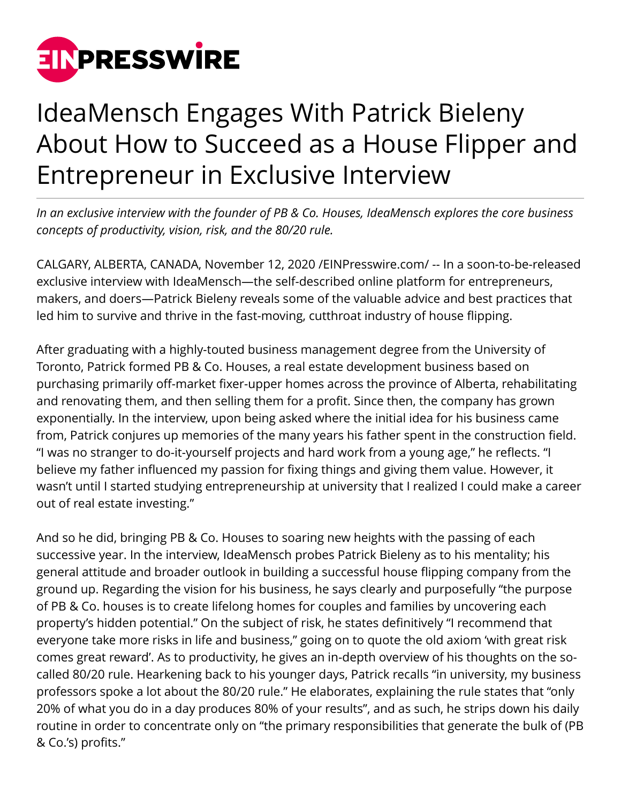

## IdeaMensch Engages With Patrick Bieleny About How to Succeed as a House Flipper and Entrepreneur in Exclusive Interview

*In an exclusive interview with the founder of PB & Co. Houses, IdeaMensch explores the core business concepts of productivity, vision, risk, and the 80/20 rule.*

CALGARY, ALBERTA, CANADA, November 12, 2020 /[EINPresswire.com/](http://www.einpresswire.com) -- In a soon-to-be-released exclusive interview with IdeaMensch—the self-described online platform for entrepreneurs, makers, and doers—Patrick Bieleny reveals some of the valuable advice and best practices that led him to survive and thrive in the fast-moving, cutthroat industry of house flipping.

After graduating with a highly-touted business management degree from the University of Toronto, Patrick formed PB & Co. Houses, a real estate development business based on purchasing primarily off-market fixer-upper homes across the province of Alberta, rehabilitating and renovating them, and then selling them for a profit. Since then, the company has grown exponentially. In the interview, upon being asked where the initial idea for his business came from, Patrick conjures up memories of the many years his father spent in the construction field. "I was no stranger to do-it-yourself projects and hard work from a young age," he reflects. "I believe my father influenced my passion for fixing things and giving them value. However, it wasn't until I started studying entrepreneurship at university that I realized I could make a career out of real estate investing."

And so he did, bringing PB & Co. Houses to soaring new heights with the passing of each successive year. In the interview, IdeaMensch probes Patrick Bieleny as to his mentality; his general attitude and broader outlook in building a successful house flipping company from the ground up. Regarding the vision for his business, he says clearly and purposefully "the purpose of PB & Co. houses is to create lifelong homes for couples and families by uncovering each property's hidden potential." On the subject of risk, he states definitively "I recommend that everyone take more risks in life and business," going on to quote the old axiom 'with great risk comes great reward'. As to productivity, he gives an in-depth overview of his thoughts on the socalled 80/20 rule. Hearkening back to his younger days, Patrick recalls "in university, my business professors spoke a lot about the 80/20 rule." He elaborates, explaining the rule states that "only 20% of what you do in a day produces 80% of your results", and as such, he strips down his daily routine in order to concentrate only on "the primary responsibilities that generate the bulk of (PB & Co.'s) profits."